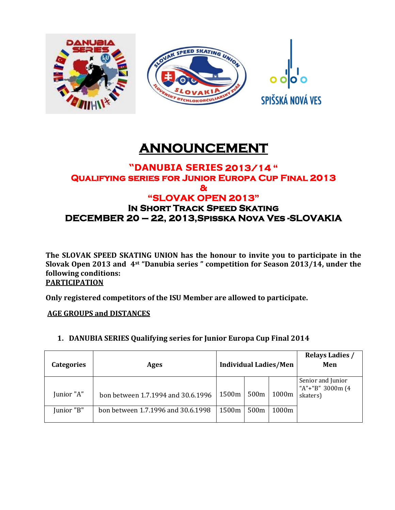

# **ANNOUNCEMENT**

### **"DANUBIA SERIES 2013/14 " Qualifying series for Junior Europa Cup Final 2013 & "SLOVAK OPEN 2013" In Short Track Speed Skating DECEMBER 20 – 22, 2013,Spisska Nova Ves -SLOVAKIA**

**The SLOVAK SPEED SKATING UNION has the honour to invite you to participate in the Slovak Open 2013 and 4st "Danubia series " competition for Season 2013/14, under the following conditions: PARTICIPATION**

**Only registered competitors of the ISU Member are allowed to participate.**

**AGE GROUPS and DISTANCES**

| 1. DANUBIA SERIES Qualifying series for Junior Europa Cup Final 2014 |  |  |  |  |
|----------------------------------------------------------------------|--|--|--|--|
|                                                                      |  |  |  |  |

| <b>Categories</b> | Ages                               | <b>Individual Ladies/Men</b> |                  |       | <b>Relays Ladies /</b><br>Men                        |
|-------------------|------------------------------------|------------------------------|------------------|-------|------------------------------------------------------|
| Junior "A"        | bon between 1.7.1994 and 30.6.1996 | 1500m                        | 500 <sub>m</sub> | 1000m | Senior and Junior<br>"A"+"B" 3000m $(4)$<br>skaters) |
| Junior "B"        | bon between 1.7.1996 and 30.6.1998 | 1500m                        | 500 <sub>m</sub> | 1000m |                                                      |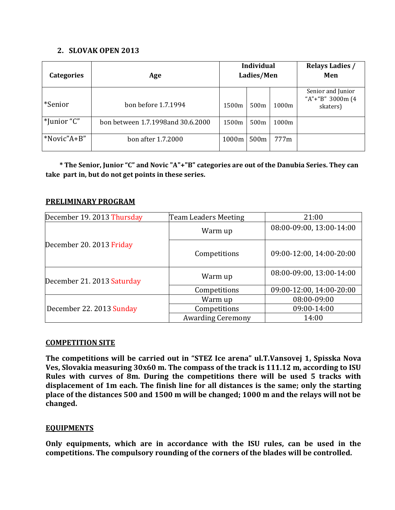#### **2. SLOVAK OPEN 2013**

| <b>Categories</b> | Age                               |       | <b>Individual</b><br>Ladies/Men |       | <b>Relays Ladies /</b><br>Men                     |
|-------------------|-----------------------------------|-------|---------------------------------|-------|---------------------------------------------------|
| *Senior           | bon before 1.7.1994               | 1500m | 500 <sub>m</sub>                | 1000m | Senior and Junior<br>"A"+"B" 3000m (4<br>skaters) |
| *Junior "C"       | bon between 1.7.1998and 30.6.2000 | 1500m | 500 <sub>m</sub>                | 1000m |                                                   |
| *Novic"A+B"       | bon after 1.7.2000                | 1000m | 500m                            | 777m  |                                                   |

 **\* The Senior, Junior "C" and Novic "A"+"B" categories are out of the Danubia Series. They can take part in, but do not get points in these series.**

#### **PRELIMINARY PROGRAM**

| December 19. 2013 Thursday | <b>Team Leaders Meeting</b> | 21:00                    |  |
|----------------------------|-----------------------------|--------------------------|--|
|                            | Warm up                     | 08:00-09:00, 13:00-14:00 |  |
| December 20. 2013 Friday   | Competitions                | 09:00-12:00, 14:00-20:00 |  |
| December 21. 2013 Saturday | Warm up                     | 08:00-09:00, 13:00-14:00 |  |
|                            | Competitions                | 09:00-12:00, 14:00-20:00 |  |
|                            | Warm up                     | 08:00-09:00              |  |
| December 22. 2013 Sunday   | Competitions                | 09:00-14:00              |  |
|                            | <b>Awarding Ceremony</b>    | 14:00                    |  |

#### **COMPETITION SITE**

**The competitions will be carried out in "STEZ Ice arena" ul.T.Vansovej 1, Spisska Nova Ves, Slovakia measuring 30x60 m. The compass of the track is 111.12 m, according to ISU Rules with curves of 8m. During the competitions there will be used 5 tracks with displacement of 1m each. The finish line for all distances is the same; only the starting place of the distances 500 and 1500 m will be changed; 1000 m and the relays will not be changed.**

#### **EQUIPMENTS**

**Only equipments, which are in accordance with the ISU rules, can be used in the competitions. The compulsory rounding of the corners of the blades will be controlled.**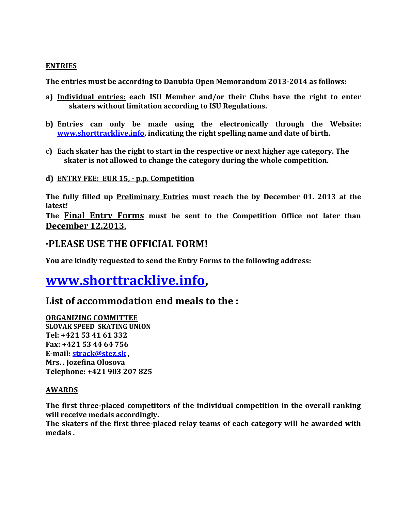#### **ENTRIES**

**The entries must be according to Danubia Open Memorandum 2013-2014 as follows:** 

- **a) Individual entries: each ISU Member and/or their Clubs have the right to enter skaters without limitation according to ISU Regulations.**
- **b) Entries can only be made using the electronically through the Website: [www.shorttracklive.info,](http://www.shorttracklive.info/) indicating the right spelling name and date of birth.**
- **c) Each skater has the right to start in the respective or next higher age category. The skater is not allowed to change the category during the whole competition.**
- **d) ENTRY FEE: EUR 15, - p.p. Competition**

**The fully filled up Preliminary Entries must reach the by December 01. 2013 at the latest!** 

**The Final Entry Forms must be sent to the Competition Office not later than December 12.2013.**

### **·PLEASE USE THE OFFICIAL FORM!**

**You are kindly requested to send the Entry Forms to the following address:**

# **[www.shorttracklive.info,](http://www.shorttracklive.info/)**

## **List of accommodation end meals to the :**

#### **ORGANIZING COMMITTEE**

**SLOVAK SPEED SKATING UNION Tel: +421 53 41 61 332 Fax: +421 53 44 64 756 E-mail: [strack@stez.sk](mailto:strack@stez.sk) , Mrs. . Jozefina Olosova Telephone: +421 903 207 825**

#### **AWARDS**

**The first three-placed competitors of the individual competition in the overall ranking will receive medals accordingly.**

**The skaters of the first three-placed relay teams of each category will be awarded with medals .**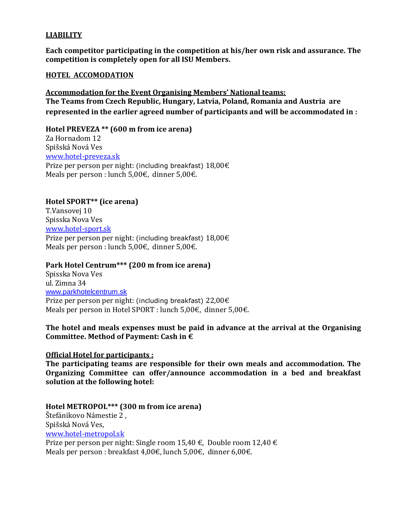#### **LIABILITY**

**Each competitor participating in the competition at his/her own risk and assurance. The competition is completely open for all ISU Members.**

#### **HOTEL ACCOMODATION**

**Accommodation for the Event Organising Members' National teams: The Teams from Czech Republic, Hungary, Latvia, Poland, Romania and Austria are represented in the earlier agreed number of participants and will be accommodated in :**

#### **Hotel PREVEZA \*\* (600 m from ice arena)**

Za Hornadom 12 Spišská Nová Ves [www.hotel-preveza.sk](http://www.hotel-preveza.sk/) Prize per person per night: (including breakfast) 18,00€ Meals per person : lunch 5,00€, dinner 5,00€.

#### **Hotel SPORT\*\* (ice arena)**

T.Vansovej 10 Spisska Nova Ves [www.hotel-sport.sk](http://www.hotel-sport.sk/) Prize per person per night: (including breakfast) 18,00€ Meals per person : lunch 5,00€, dinner 5,00€.

#### **Park Hotel Centrum\*\*\* (200 m from ice arena)**

Spisska Nova Ves ul. Zimna 34 [www.parkhotelcentrum.sk](http://www.parkhotelcentrum.sk/) Prize per person per night: (including breakfast) 22,00€ Meals per person in Hotel SPORT : lunch 5,00€, dinner 5,00€.

#### **The hotel and meals expenses must be paid in advance at the arrival at the Organising Committee. Method of Payment: Cash in €**

#### **Оfficial Hotel for participants :**

**The participating teams are responsible for their own meals and accommodation. The Organizing Committee can offer/announce accommodation in a bed and breakfast solution at the following hotel:**

#### **Hotel METROPOL\*\*\* (300 m from ice arena)**

Štefánikovo Námestie 2 , Spišská Nová Ves, [www.hotel-metropol.sk](http://www.hotel-metropol.sk/) Prize per person per night: Single room 15,40 €, Double room 12,40 € Meals per person : breakfast 4,00€, lunch 5,00€, dinner 6,00€.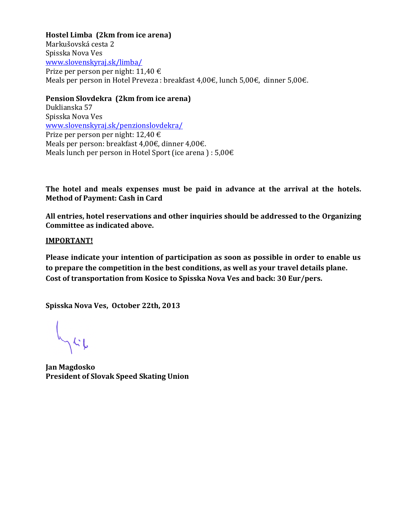#### **Hostel Limba (2km from ice arena)**

Markušovská cesta 2 Spisska Nova Ves [www.slovenskyraj.sk/limba/](http://www.slovenskyraj.sk/limba/)  Prize per person per night: 11,40 € Meals per person in Hotel Preveza : breakfast 4,00€, lunch 5,00€, dinner 5,00€.

#### **Pension Slovdekra (2km from ice arena)**

Duklianska 57 Spisska Nova Ves [www.slovenskyraj.sk/penzionslovdekra/](http://www.slovenskyraj.sk/penzionslovdekra/) Prize per person per night: 12,40 € Meals per person: breakfast 4,00€, dinner 4,00€. Meals lunch per person in Hotel Sport (ice arena) :  $5,00 \in$ 

**The hotel and meals expenses must be paid in advance at the arrival at the hotels. Method of Payment: Cash in Card**

**All entries, hotel reservations and other inquiries should be addressed to the Organizing Committee as indicated above.**

#### **IMPORTANT!**

**Please indicate your intention of participation as soon as possible in order to enable us to prepare the competition in the best conditions, as well as your travel details plane. Cost of transportation from Kosice to Spisska Nova Ves and back: 30 Eur/pers.**

**Spisska Nova Ves, October 22th, 2013**

**Jan Magdosko President of Slovak Speed Skating Union**